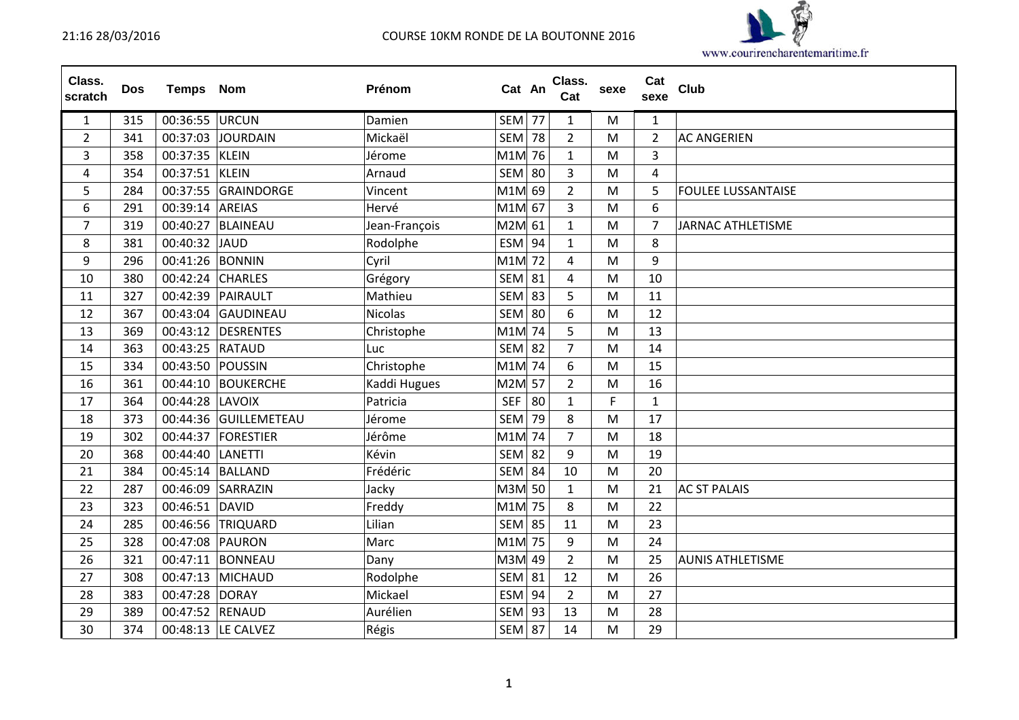

| Class.<br>scratch | <b>Dos</b> | <b>Temps Nom</b> |                       | Prénom        | Cat An        |    | Class.<br>Cat  | sexe | Cat<br>sexe    | Club                      |
|-------------------|------------|------------------|-----------------------|---------------|---------------|----|----------------|------|----------------|---------------------------|
| $\mathbf{1}$      | 315        | 00:36:55 URCUN   |                       | Damien        | SEM 77        |    | $\mathbf{1}$   | M    | $\mathbf{1}$   |                           |
| $\overline{2}$    | 341        |                  | 00:37:03 JOURDAIN     | Mickaël       | <b>SEM 78</b> |    | $\overline{2}$ | M    | $\overline{2}$ | <b>AC ANGERIEN</b>        |
| 3                 | 358        | 00:37:35 KLEIN   |                       | Jérome        | M1M 76        |    | $\mathbf{1}$   | M    | $\overline{3}$ |                           |
| 4                 | 354        | 00:37:51         | <b>KLEIN</b>          | Arnaud        | <b>SEM 80</b> |    | 3              | M    | 4              |                           |
| 5                 | 284        |                  | 00:37:55 GRAINDORGE   | Vincent       | M1M 69        |    | $\overline{2}$ | M    | 5              | <b>FOULEE LUSSANTAISE</b> |
| 6                 | 291        | 00:39:14 AREIAS  |                       | Hervé         | M1M 67        |    | 3              | M    | 6              |                           |
| $\overline{7}$    | 319        |                  | 00:40:27 BLAINEAU     | Jean-François | M2M 61        |    | $\mathbf{1}$   | M    | $\overline{7}$ | <b>JARNAC ATHLETISME</b>  |
| 8                 | 381        | 00:40:32 JAUD    |                       | Rodolphe      | $ESM$ 94      |    | $\mathbf{1}$   | M    | 8              |                           |
| 9                 | 296        | 00:41:26 BONNIN  |                       | Cyril         | M1M 72        |    | 4              | M    | 9              |                           |
| 10                | 380        | 00:42:24         | <b>CHARLES</b>        | Grégory       | <b>SEM 81</b> |    | 4              | M    | 10             |                           |
| 11                | 327        | 00:42:39         | PAIRAULT              | Mathieu       | $SEM$ 83      |    | 5              | M    | 11             |                           |
| 12                | 367        | 00:43:04         | GAUDINEAU             | Nicolas       | <b>SEM 80</b> |    | 6              | M    | 12             |                           |
| 13                | 369        | 00:43:12         | <b>DESRENTES</b>      | Christophe    | M1M 74        |    | 5              | M    | 13             |                           |
| 14                | 363        | 00:43:25 RATAUD  |                       | Luc           | <b>SEM 82</b> |    | $\overline{7}$ | M    | 14             |                           |
| 15                | 334        | 00:43:50         | <b>POUSSIN</b>        | Christophe    | M1M 74        |    | 6              | M    | 15             |                           |
| 16                | 361        |                  | 00:44:10 BOUKERCHE    | Kaddi Hugues  | M2M 57        |    | $\overline{2}$ | M    | 16             |                           |
| 17                | 364        | 00:44:28 LAVOIX  |                       | Patricia      | <b>SEF</b>    | 80 | $\mathbf{1}$   | F    | $\mathbf{1}$   |                           |
| 18                | 373        |                  | 00:44:36 GUILLEMETEAU | Jérome        | SEM           | 79 | 8              | M    | 17             |                           |
| 19                | 302        | 00:44:37         | FORESTIER             | Jérôme        | M1M 74        |    | $\overline{7}$ | M    | 18             |                           |
| 20                | 368        | 00:44:40         | <b>LANETTI</b>        | Kévin         | <b>SEM 82</b> |    | 9              | M    | 19             |                           |
| 21                | 384        | 00:45:14         | <b>BALLAND</b>        | Frédéric      | <b>SEM 84</b> |    | 10             | M    | 20             |                           |
| 22                | 287        | 00:46:09         | SARRAZIN              | Jacky         | M3M 50        |    | $\mathbf{1}$   | M    | 21             | <b>AC ST PALAIS</b>       |
| 23                | 323        | 00:46:51 DAVID   |                       | Freddy        | M1M 75        |    | 8              | M    | 22             |                           |
| 24                | 285        | 00:46:56         | TRIQUARD              | Lilian        | <b>SEM 85</b> |    | 11             | M    | 23             |                           |
| 25                | 328        | 00:47:08 PAURON  |                       | Marc          | M1M 75        |    | 9              | M    | 24             |                           |
| 26                | 321        |                  | 00:47:11 BONNEAU      | Dany          | M3M 49        |    | $\overline{2}$ | M    | 25             | <b>AUNIS ATHLETISME</b>   |
| 27                | 308        | 00:47:13         | <b>MICHAUD</b>        | Rodolphe      | $SEM$ 81      |    | 12             | M    | 26             |                           |
| 28                | 383        | 00:47:28         | <b>DORAY</b>          | Mickael       | $ESM$ 94      |    | $\overline{2}$ | M    | 27             |                           |
| 29                | 389        | 00:47:52 RENAUD  |                       | Aurélien      | <b>SEM 93</b> |    | 13             | M    | 28             |                           |
| 30                | 374        |                  | 00:48:13  LE CALVEZ   | Régis         | SEM 87        |    | 14             | M    | 29             |                           |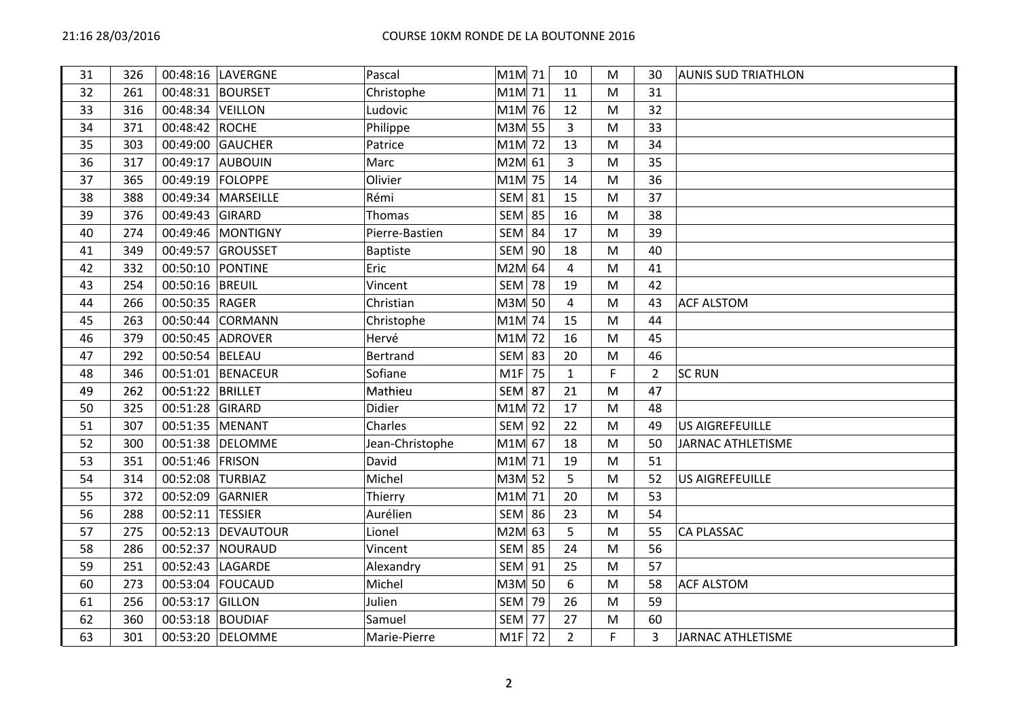| 31 | 326 |                  | 00:48:16 LAVERGNE  | Pascal          | M1M 71        |    | 10             | M  | 30             | <b>AUNIS SUD TRIATHLON</b> |
|----|-----|------------------|--------------------|-----------------|---------------|----|----------------|----|----------------|----------------------------|
| 32 | 261 |                  | 00:48:31 BOURSET   | Christophe      | M1M 71        |    | 11             | M  | 31             |                            |
| 33 | 316 | 00:48:34 VEILLON |                    | Ludovic         | M1M 76        |    | 12             | M  | 32             |                            |
| 34 | 371 | 00:48:42 ROCHE   |                    | Philippe        | M3M 55        |    | 3              | M  | 33             |                            |
| 35 | 303 |                  | 00:49:00 GAUCHER   | Patrice         | M1M 72        |    | 13             | M  | 34             |                            |
| 36 | 317 |                  | 00:49:17 AUBOUIN   | Marc            | M2M 61        |    | 3              | M  | 35             |                            |
| 37 | 365 |                  | 00:49:19 FOLOPPE   | Olivier         | M1M 75        |    | 14             | M  | 36             |                            |
| 38 | 388 |                  | 00:49:34 MARSEILLE | Rémi            | <b>SEM 81</b> |    | 15             | M  | 37             |                            |
| 39 | 376 | 00:49:43 GIRARD  |                    | Thomas          | <b>SEM 85</b> |    | 16             | M  | 38             |                            |
| 40 | 274 |                  | 00:49:46 MONTIGNY  | Pierre-Bastien  | <b>SEM 84</b> |    | 17             | M  | 39             |                            |
| 41 | 349 |                  | 00:49:57 GROUSSET  | Baptiste        | SEM 90        |    | 18             | M  | 40             |                            |
| 42 | 332 |                  | 00:50:10 PONTINE   | Eric            | M2M 64        |    | 4              | M  | 41             |                            |
| 43 | 254 | 00:50:16 BREUIL  |                    | Vincent         | <b>SEM 78</b> |    | 19             | M  | 42             |                            |
| 44 | 266 | 00:50:35 RAGER   |                    | Christian       | M3M 50        |    | $\overline{4}$ | M  | 43             | <b>ACF ALSTOM</b>          |
| 45 | 263 |                  | 00:50:44 CORMANN   | Christophe      | M1M 74        |    | 15             | M  | 44             |                            |
| 46 | 379 |                  | 00:50:45 ADROVER   | Hervé           | M1M 72        |    | 16             | M  | 45             |                            |
| 47 | 292 | 00:50:54 BELEAU  |                    | <b>Bertrand</b> | $SEM$ 83      |    | 20             | M  | 46             |                            |
| 48 | 346 |                  | 00:51:01 BENACEUR  | Sofiane         | M1F           | 75 | $\mathbf{1}$   | F  | $\overline{2}$ | <b>SC RUN</b>              |
| 49 | 262 | 00:51:22 BRILLET |                    | Mathieu         | <b>SEM 87</b> |    | 21             | M  | 47             |                            |
| 50 | 325 | 00:51:28 GIRARD  |                    | Didier          | M1M 72        |    | 17             | M  | 48             |                            |
| 51 | 307 | 00:51:35 MENANT  |                    | Charles         | <b>SEM 92</b> |    | 22             | M  | 49             | <b>US AIGREFEUILLE</b>     |
| 52 | 300 |                  | 00:51:38 DELOMME   | Jean-Christophe | M1M 67        |    | 18             | M  | 50             | JARNAC ATHLETISME          |
| 53 | 351 | 00:51:46 FRISON  |                    | David           | M1M 71        |    | 19             | M  | 51             |                            |
| 54 | 314 | 00:52:08 TURBIAZ |                    | Michel          | M3M 52        |    | 5              | M  | 52             | <b>US AIGREFEUILLE</b>     |
| 55 | 372 |                  | 00:52:09 GARNIER   | Thierry         | M1M 71        |    | 20             | M  | 53             |                            |
| 56 | 288 | 00:52:11 TESSIER |                    | Aurélien        | $SEM$ 86      |    | 23             | M  | 54             |                            |
| 57 | 275 |                  | 00:52:13 DEVAUTOUR | Lionel          | M2M 63        |    | 5              | M  | 55             | <b>CA PLASSAC</b>          |
| 58 | 286 |                  | 00:52:37 NOURAUD   | Vincent         | <b>SEM 85</b> |    | 24             | M  | 56             |                            |
| 59 | 251 |                  | 00:52:43   LAGARDE | Alexandry       | SEM 91        |    | 25             | M  | 57             |                            |
| 60 | 273 |                  | 00:53:04 FOUCAUD   | Michel          | M3M 50        |    | 6              | M  | 58             | <b>ACF ALSTOM</b>          |
| 61 | 256 | 00:53:17 GILLON  |                    | Julien          | <b>SEM 79</b> |    | 26             | M  | 59             |                            |
| 62 | 360 |                  | 00:53:18 BOUDIAF   | Samuel          | <b>SEM 77</b> |    | 27             | M  | 60             |                            |
| 63 | 301 |                  | 00:53:20 DELOMME   | Marie-Pierre    | $M1F$ 72      |    | $\overline{2}$ | F. | 3              | <b>JARNAC ATHLETISME</b>   |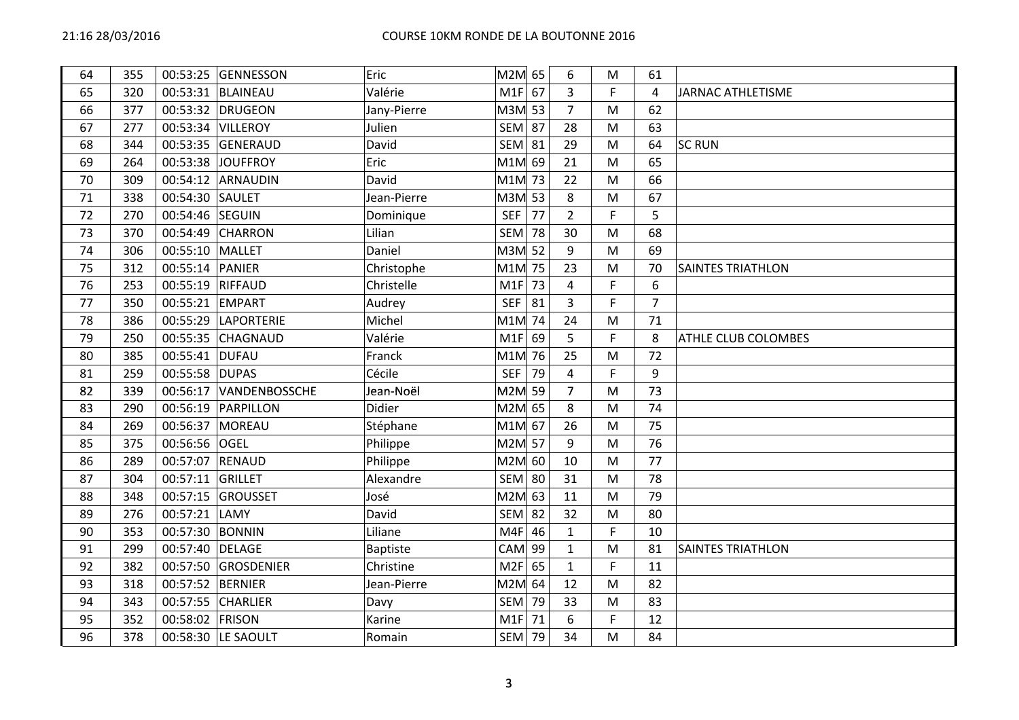| 64 | 355 |                  | 00:53:25 GENNESSON     | Eric            | M2M 65        |    | 6                | M  | 61             |                          |
|----|-----|------------------|------------------------|-----------------|---------------|----|------------------|----|----------------|--------------------------|
| 65 | 320 |                  | 00:53:31 BLAINEAU      | Valérie         | $M1F$ 67      |    | $\overline{3}$   | F. | 4              | <b>JARNAC ATHLETISME</b> |
| 66 | 377 |                  | 00:53:32 DRUGEON       | Jany-Pierre     | M3M 53        |    | $\overline{7}$   | M  | 62             |                          |
| 67 | 277 |                  | 00:53:34 VILLEROY      | Julien          | <b>SEM 87</b> |    | 28               | M  | 63             |                          |
| 68 | 344 |                  | 00:53:35 GENERAUD      | David           | <b>SEM 81</b> |    | 29               | M  | 64             | <b>SC RUN</b>            |
| 69 | 264 |                  | 00:53:38 JOUFFROY      | Eric            | M1M 69        |    | 21               | M  | 65             |                          |
| 70 | 309 |                  | 00:54:12 ARNAUDIN      | David           | M1M 73        |    | 22               | M  | 66             |                          |
| 71 | 338 | 00:54:30 SAULET  |                        | Jean-Pierre     | M3M 53        |    | 8                | M  | 67             |                          |
| 72 | 270 | 00:54:46 SEGUIN  |                        | Dominique       | <b>SEF</b>    | 77 | $\overline{2}$   | F. | 5              |                          |
| 73 | 370 |                  | 00:54:49 CHARRON       | Lilian          | <b>SEM</b>    | 78 | 30               | M  | 68             |                          |
| 74 | 306 | 00:55:10 MALLET  |                        | Daniel          | M3M 52        |    | 9                | M  | 69             |                          |
| 75 | 312 | 00:55:14 PANIER  |                        | Christophe      | M1M 75        |    | 23               | M  | 70             | <b>SAINTES TRIATHLON</b> |
| 76 | 253 | 00:55:19 RIFFAUD |                        | Christelle      | M1F           | 73 | 4                | F  | 6              |                          |
| 77 | 350 | 00:55:21 EMPART  |                        | Audrey          | <b>SEF</b>    | 81 | $\overline{3}$   | F  | $\overline{7}$ |                          |
| 78 | 386 |                  | 00:55:29 LAPORTERIE    | Michel          | M1M 74        |    | 24               | M  | 71             |                          |
| 79 | 250 |                  | 00:55:35 CHAGNAUD      | Valérie         | $M1F$ 69      |    | 5                | F  | 8              | ATHLE CLUB COLOMBES      |
| 80 | 385 | 00:55:41 DUFAU   |                        | Franck          | M1M 76        |    | 25               | M  | 72             |                          |
| 81 | 259 | 00:55:58 DUPAS   |                        | Cécile          | <b>SEF</b>    | 79 | $\overline{4}$   | F  | 9              |                          |
| 82 | 339 |                  | 00:56:17 VANDENBOSSCHE | Jean-Noël       | M2M 59        |    | $\overline{7}$   | M  | 73             |                          |
| 83 | 290 |                  | 00:56:19 PARPILLON     | Didier          | M2M 65        |    | 8                | M  | 74             |                          |
| 84 | 269 | 00:56:37 MOREAU  |                        | Stéphane        | M1M 67        |    | 26               | M  | 75             |                          |
| 85 | 375 | 00:56:56 OGEL    |                        | Philippe        | M2M 57        |    | 9                | M  | 76             |                          |
| 86 | 289 | 00:57:07 RENAUD  |                        | Philippe        | M2M 60        |    | 10               | M  | 77             |                          |
| 87 | 304 | 00:57:11 GRILLET |                        | Alexandre       | $SEM$ 80      |    | 31               | M  | 78             |                          |
| 88 | 348 |                  | 00:57:15 GROUSSET      | José            | M2M 63        |    | 11               | M  | 79             |                          |
| 89 | 276 | 00:57:21 LAMY    |                        | David           | <b>SEM 82</b> |    | 32               | M  | 80             |                          |
| 90 | 353 | 00:57:30 BONNIN  |                        | Liliane         | $M4F$ 46      |    | $\mathbf{1}$     | F. | 10             |                          |
| 91 | 299 | 00:57:40 DELAGE  |                        | <b>Baptiste</b> | $CAM$ 99      |    | $\mathbf 1$      | M  | 81             | <b>SAINTES TRIATHLON</b> |
| 92 | 382 |                  | 00:57:50 GROSDENIER    | Christine       | $M2F$ 65      |    | $\mathbf{1}$     | F  | 11             |                          |
| 93 | 318 | 00:57:52 BERNIER |                        | Jean-Pierre     | M2M 64        |    | 12               | M  | 82             |                          |
| 94 | 343 |                  | 00:57:55 CHARLIER      | Davy            | $SEM$ 79      |    | 33               | M  | 83             |                          |
| 95 | 352 | 00:58:02 FRISON  |                        | Karine          | $M1F$ 71      |    | $\boldsymbol{6}$ | F  | 12             |                          |
| 96 | 378 |                  | 00:58:30 LE SAOULT     | Romain          | SEM 79        |    | 34               | M  | 84             |                          |